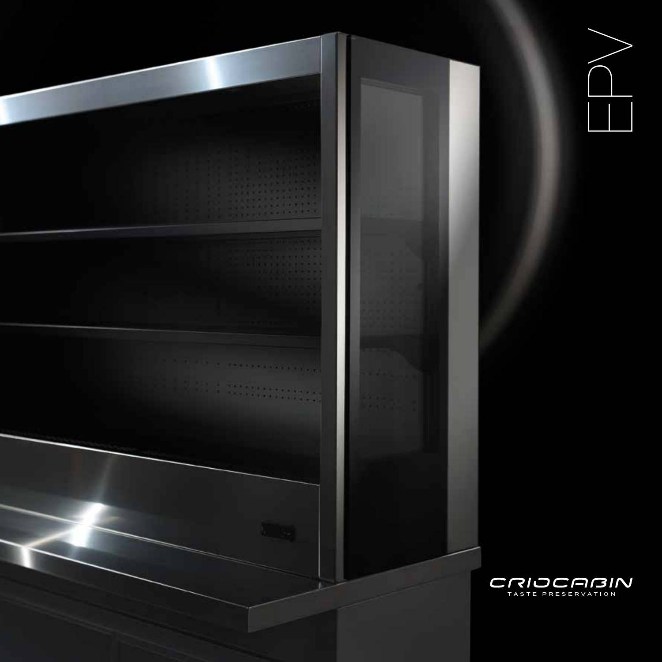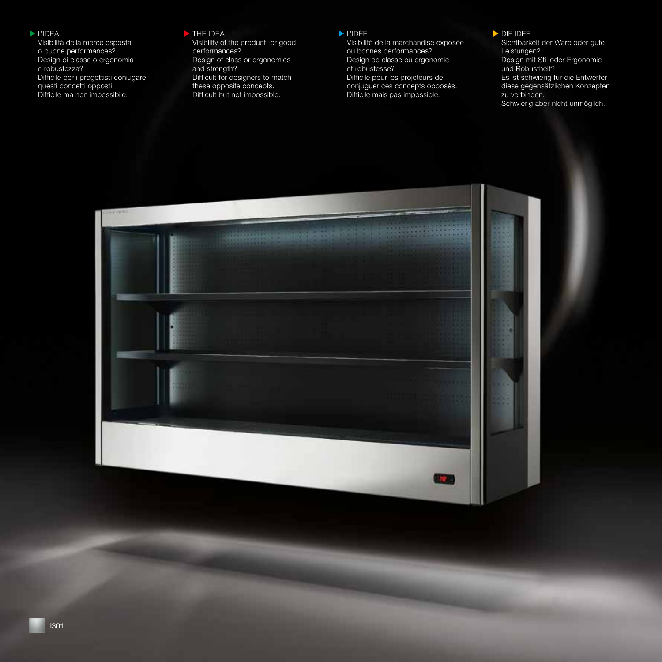## $\blacktriangleright$  L'IDEA

Visibilità della merce esposta o buone performances? Design di classe o ergonomia e robustezza? Difficile per i progettisti coniugare questi concetti opposti. Difficile ma non impossibile.

### $\triangleright$  THE IDEA

Visibility of the product or good performances? Design of class or ergonomics and strength? Difficult for designers to match these opposite concepts. Difficult but not impossible.

## $\blacktriangleright$  L'IDÉE

Visibilité de la marchandise exposée ou bonnes performances? Design de classe ou ergonomie et robustesse? Difficile pour les projeteurs de conjuguer ces concepts opposés. Difficile mais pas impossible.

## DIE IDEE

Sichtbarkeit der Ware oder gute Leistungen? Design mit Stil oder Ergonomie und Robustheit? Es ist schwierig für die Entwerfer diese gegensätzlichen Konzepten zu verbinden. Schwierig aber nicht unmöglich.

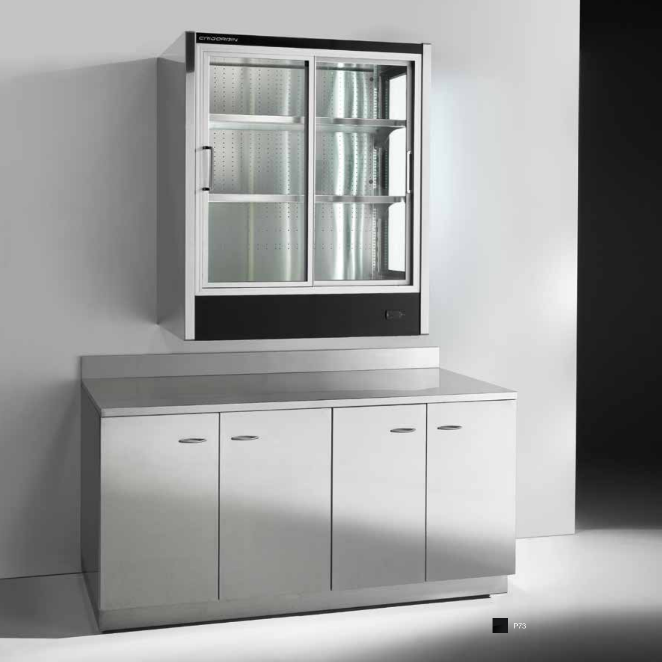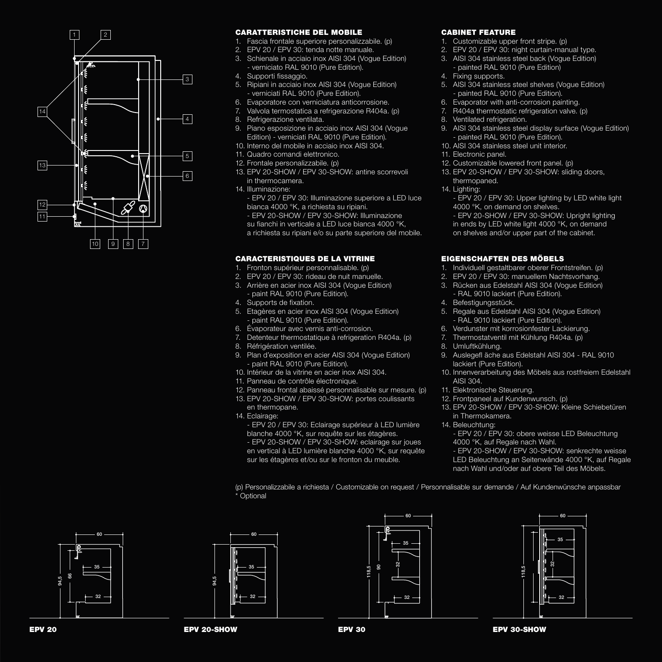

# CARATTERISTICHE DEL MOBILE

- 1. Fascia frontale superiore personalizzabile. (p)
- 2. EPV 20 / EPV 30: tenda notte manuale.
- 3. Schienale in acciaio inox AISI 304 (Vogue Edition) - verniciato RAL 9010 (Pure Edition).
- 4. Supporti fissaggio.
- 5. Ripiani in acciaio inox AISI 304 (Vogue Edition) - verniciati RAL 9010 (Pure Edition).
- 6. Evaporatore con verniciatura anticorrosione.
- 7. Valvola termostatica a refrigerazione R404a. (p)
- 8. Refrigerazione ventilata.
- 9. Piano esposizione in acciaio inox AISI 304 (Vogue Edition) - verniciati RAL 9010 (Pure Edition).
- 10. Interno del mobile in acciaio inox AISI 304.
- 11. Quadro comandi elettronico.
- 12. Frontale personalizzabile. (p)
- 13. EPV 20-SHOW / EPV 30-SHOW: antine scorrevoli in thermocamera.
- 14. Illuminazione:

- EPV 20 / EPV 30: Illuminazione superiore a LED luce bianca 4000 °K, a richiesta su ripiani. - EPV 20-SHOW / EPV 30-SHOW: Illuminazione su fianchi in verticale a LED luce bianca 4000 °K, a richiesta su ripiani e/o su parte superiore del mobile.

### CARACTERISTIQUES DE LA VITRINE

- 1. Fronton supérieur personnalisable. (p)
- 2. EPV 20 / EPV 30: rideau de nuit manuelle.
- 3. Arrière en acier inox AISI 304 (Vogue Edition) - paint RAL 9010 (Pure Edition).
- 4. Supports de fixation.
- 5. Etagères en acier inox AISI 304 (Vogue Edition) - paint RAL 9010 (Pure Edition).
- 6. Évaporateur avec vernis anti-corrosion.
- 7. Detenteur thermostatique à refrigeration R404a. (p)
- 8. Réfrigération ventilée.
- 9. Plan d'exposition en acier AISI 304 (Vogue Edition) - paint RAL 9010 (Pure Edition).
- 10. Intérieur de la vitrine en acier inox AISI 304.
- 11. Panneau de contrôle électronique.
- 12. Panneau frontal abaissé personnalisable sur mesure. (p)
- 13. EPV 20-SHOW / EPV 30-SHOW: portes coulissants en thermopane.
- 14. Eclairage:
	- EPV 20 / EPV 30: Eclairage supérieur à LED lumière blanche 4000 °K, sur requête sur les étagères. - EPV 20-SHOW / EPV 30-SHOW: eclairage sur joues en vertical à LED lumière blanche 4000 °K, sur requête sur les étagères et/ou sur le fronton du meuble.

## CABINET FEATURE

- 1. Customizable upper front stripe. (p)
- 2. EPV 20 / EPV 30: night curtain-manual type.
- 3. AISI 304 stainless steel back (Vogue Edition)
	- painted RAL 9010 (Pure Edition)
- 4. Fixing supports.
- 5. AISI 304 stainless steel shelves (Vogue Edition) - painted RAL 9010 (Pure Edition).
- 6. Evaporator with anti-corrosion painting.
- 7. R404a thermostatic refrigeration valve. (p)
- 8. Ventilated refrigeration.
- 9. AISI 304 stainless steel display surface (Vogue Edition) - painted RAL 9010 (Pure Edition).
- 10. AISI 304 stainless steel unit interior.
- 11. Electronic panel.
- 12. Customizable lowered front panel. (p)
- 13. EPV 20-SHOW / EPV 30-SHOW: sliding doors, thermopaned.
- 14. Lighting:

- EPV 20 / EPV 30: Upper lighting by LED white light 4000 °K, on demand on shelves.

- EPV 20-SHOW / EPV 30-SHOW: Upright lighting in ends by LED white light 4000 °K, on demand on shelves and/or upper part of the cabinet.

# EIGENSCHAFTEN DES MÖBELS

- 1. Individuell gestaltbarer oberer Frontstreifen. (p)
- 2. EPV 20 / EPV 30: manuellem Nachtsvorhang.
- 3. Rücken aus Edelstahl AISI 304 (Vogue Edition) - RAL 9010 lackiert (Pure Edition).
- 4. Befestigungsstück.
- 5. Regale aus Edelstahl AISI 304 (Vogue Edition) - RAL 9010 lackiert (Pure Edition).
- 6. Verdunster mit korrosionfester Lackierung.
- 7. Thermostatventil mit Kühlung R404a. (p)
- 8. Umluftkühlung.
- 9. Auslegefl äche aus Edelstahl AISI 304 RAL 9010 lackiert (Pure Edition).
- 10. Innenverarbeitung des Möbels aus rostfreiem Edelstahl AISI 304.
- 11. Elektronische Steuerung.
- 12. Frontpaneel auf Kundenwunsch. (p)
- 13. EPV 20-SHOW / EPV 30-SHOW: Kleine Schiebetüren
- 14. Beleuchtung:
	- EPV 20 / EPV 30: obere weisse LED Beleuchtung 4000 °K, auf Regale nach Wahl.

- EPV 20-SHOW / EPV 30-SHOW: senkrechte weisse LED Beleuchtung an Seitenwände 4000 °K, auf Regale nach Wahl und/oder auf obere Teil des Möbels.

(p) Personalizzabile a richiesta / Customizable on request / Personnalisable sur demande / Auf Kundenwünsche anpassbar \* Optional









- 
- in Thermokamera.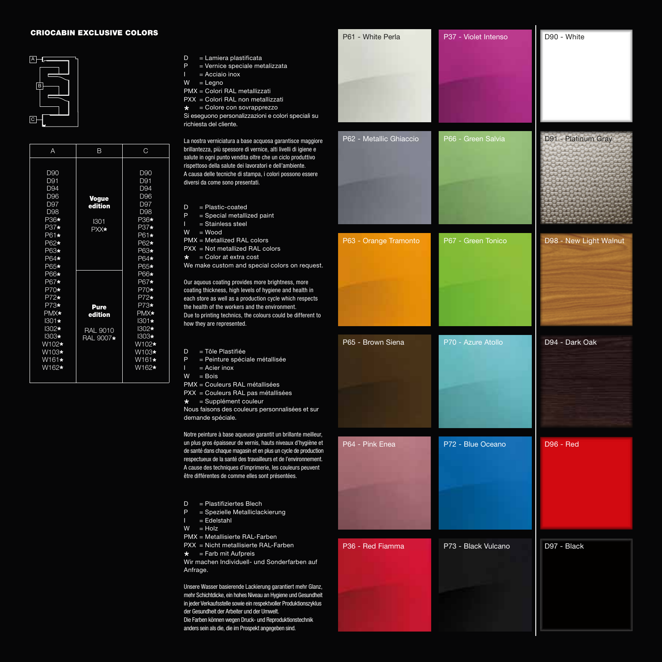#### **CRIOCABIN EXCLUSIVE COLORS**



| А                                                                                                                            | B                                               | C                                                                                                                                                                                                                                                |
|------------------------------------------------------------------------------------------------------------------------------|-------------------------------------------------|--------------------------------------------------------------------------------------------------------------------------------------------------------------------------------------------------------------------------------------------------|
| D90<br>D91<br>D <sub>94</sub><br>D96<br>D97<br>D98<br>P36*<br>$P37*$<br>P61*<br>P62*<br>P63*<br>$P64*$<br>$P65*$             | <b>Vogue</b><br>edition<br>1301<br>PXX*         | D90<br>D91<br>D <sub>94</sub><br>D96<br>D97<br>D98<br>P36*<br>$P37*$<br>P61*<br>P62*<br>P63*<br>$P64*$<br>$P65*$<br>P66*<br>P67*<br>$P70*$<br>$P72*$<br>$P73*$<br>PMX*<br>$1301 \star$<br>$1302*$<br>$1303*$<br>W102*<br>W103*<br>W161*<br>W162* |
| P66*<br>P67*<br>$P70*$<br>$P72*$<br>$P73*$<br>PMX*<br>$1301 \star$<br>$1302*$<br>$1303*$<br>W102*<br>W103*<br>W161*<br>W162* | Pure<br>edition<br><b>RAL 9010</b><br>RAL 9007* |                                                                                                                                                                                                                                                  |

- D = Lamiera plastificata
- P = Vernice speciale metalizzata
- $I = Acciaio inox$
- $W = \text{Legno}$
- PMX = Colori RAL metallizzati
- PXX = Colori RAL non metallizzati

 $\star$  = Colore con sovrapprezzo Si eseguono personalizzazioni e colori speciali su richiesta del cliente.

La nostra verniciatura a base acquosa garantisce maggiore brillantezza, più spessore di vernice, alti livelli di igiene e salute in ogni punto vendita oltre che un ciclo produttivo rispettoso della salute dei lavoratori e dell'ambiente. A causa delle tecniche di stampa, i colori possono essere diversi da come sono presentati.

D = Plastic-coated

- $P =$  Special metallized paint
- $I =$ Stainless steel
- W = Wood
- PMX = Metallized RAL colors
- PXX = Not metallized RAL colors  $\star$  = Color at extra cost
- We make custom and special colors on request.

Our aquous coating provides more brightness, more coating thickness, high levels of hygiene and health in each store as well as a production cycle which respects the health of the workers and the environment. Due to printing technics, the colours could be different to how they are represented.

- D = Tôle Plastifiée
- P = Peinture spéciale métallisée
- I = Acier inox
- $W = Bois$

PMX = Couleurs RAL métallisées

- PXX = Couleurs RAL pas métallisées
- $\star$  = Supplément couleur

Nous faisons des couleurs personnalisées et sur demande spéciale.

Notre peinture à base aqueuse garantit un brillante meilleur, un plus gros épaisseur de vernis, hauts niveaux d'hygiène et de santé dans chaque magasin et en plus un cycle de production respectueux de la santé des travailleurs et de l'environnement. A cause des techniques d'imprimerie, les couleurs peuvent être différentes de comme elles sont présentées.

- D = Plastifiziertes Blech
- P = Spezielle Metalliclackierung
- = Edelstahl
- $W = Holz$
- PMX = Metallisierte RAL-Farben
- PXX = Nicht metallisierte RAL-Farben
- $\star$  = Farb mit Aufpreis

Wir machen Individuell- und Sonderfarben auf Anfrage.

Unsere Wasser basierende Lackierung garantiert mehr Glanz, mehr Schichtdicke, ein hohes Niveau an Hygiene und Gesundheit in jeder Verkaufsstelle sowie ein respektvoller Produktionszyklus der Gesundheit der Arbeiter und der Umwelt. Die Farben können wegen Druck- und Reproduktionstechnik anders sein als die, die im Prospekt angegeben sind.

| P61 - White Perla       | P37 - Violet Intenso | D90 - White            |
|-------------------------|----------------------|------------------------|
| P62 - Metallic Ghiaccio | P66 - Green Salvia   | D91 - Platinum Gray    |
| P63 - Orange Tramonto   | P67 - Green Tonico   | D98 - New Light Walnut |
| P65 - Brown Siena       | P70 - Azure Atollo   | D94 - Dark Oak         |
| P64 - Pink Enea         | P72 - Blue Oceano    | <b>D96 - Red</b>       |
| P36 - Red Fiamma        | P73 - Black Vulcano  | D97 - Black            |